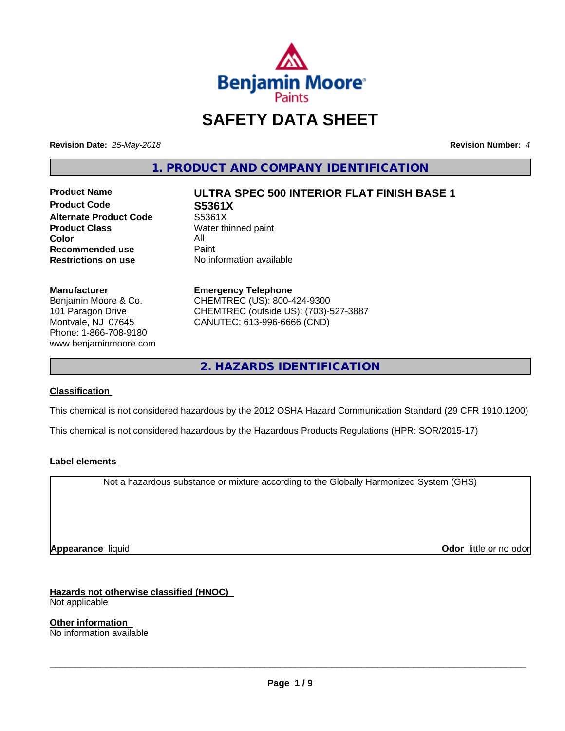

# **SAFETY DATA SHEET**

**Revision Date:** *25-May-2018* **Revision Number:** *4*

**1. PRODUCT AND COMPANY IDENTIFICATION**

**Product Code S5361X Alternate Product Code** S5361X<br> **Product Class** Water th **Color** All<br> **Recommended use** Paint **Recommended use**<br>Restrictions on use

# **Product Name ULTRA SPEC 500 INTERIOR FLAT FINISH BASE 1**

**Water thinned paint No information available** 

#### **Manufacturer**

Benjamin Moore & Co. 101 Paragon Drive Montvale, NJ 07645 Phone: 1-866-708-9180 www.benjaminmoore.com

## **Emergency Telephone** CHEMTREC (US): 800-424-9300

CHEMTREC (outside US): (703)-527-3887 CANUTEC: 613-996-6666 (CND)

**2. HAZARDS IDENTIFICATION**

#### **Classification**

This chemical is not considered hazardous by the 2012 OSHA Hazard Communication Standard (29 CFR 1910.1200)

This chemical is not considered hazardous by the Hazardous Products Regulations (HPR: SOR/2015-17)

#### **Label elements**

Not a hazardous substance or mixture according to the Globally Harmonized System (GHS)

**Appearance** liquid **Odor in the original of the original of the original of the original of the original of the original of the original of the original of the original of the original of the original of the original of t** 

**Hazards not otherwise classified (HNOC)**

Not applicable

**Other information** No information available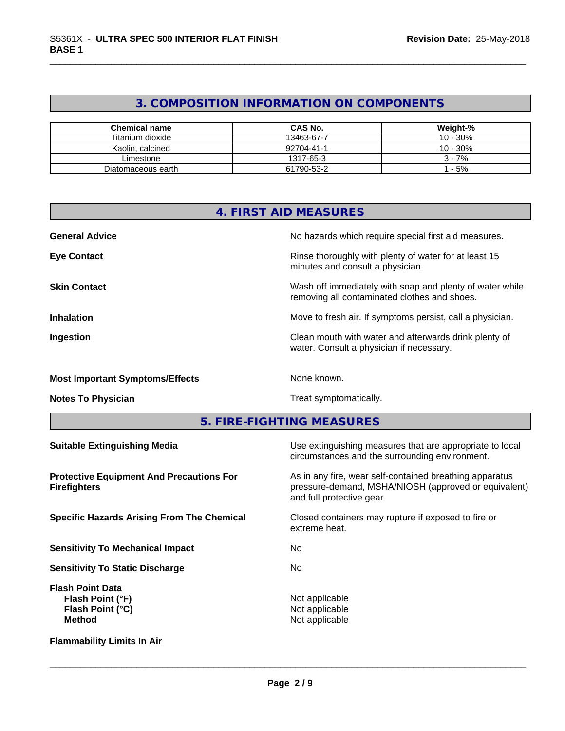## **3. COMPOSITION INFORMATION ON COMPONENTS**

| <b>Chemical name</b> | <b>CAS No.</b> | Weight-%   |
|----------------------|----------------|------------|
| Titanium dioxide     | 13463-67-7     | $10 - 30%$ |
| Kaolin, calcined     | 92704-41-1     | $10 - 30%$ |
| Limestone            | 1317-65-3      | $3 - 7%$   |
| Diatomaceous earth   | 61790-53-2     | - 5%       |

| <b>4. FIRST AID MEASURES</b>                                                     |                                                                                                                                              |  |  |  |
|----------------------------------------------------------------------------------|----------------------------------------------------------------------------------------------------------------------------------------------|--|--|--|
| <b>General Advice</b>                                                            | No hazards which require special first aid measures.                                                                                         |  |  |  |
| <b>Eye Contact</b>                                                               | Rinse thoroughly with plenty of water for at least 15<br>minutes and consult a physician.                                                    |  |  |  |
| <b>Skin Contact</b>                                                              | Wash off immediately with soap and plenty of water while<br>removing all contaminated clothes and shoes.                                     |  |  |  |
| <b>Inhalation</b>                                                                | Move to fresh air. If symptoms persist, call a physician.                                                                                    |  |  |  |
| Ingestion                                                                        | Clean mouth with water and afterwards drink plenty of<br>water. Consult a physician if necessary.                                            |  |  |  |
| <b>Most Important Symptoms/Effects</b>                                           | None known.                                                                                                                                  |  |  |  |
| <b>Notes To Physician</b>                                                        | Treat symptomatically.                                                                                                                       |  |  |  |
| 5. FIRE-FIGHTING MEASURES                                                        |                                                                                                                                              |  |  |  |
| <b>Suitable Extinguishing Media</b>                                              | Use extinguishing measures that are appropriate to local<br>circumstances and the surrounding environment.                                   |  |  |  |
| <b>Protective Equipment And Precautions For</b><br><b>Firefighters</b>           | As in any fire, wear self-contained breathing apparatus<br>pressure-demand, MSHA/NIOSH (approved or equivalent)<br>and full protective gear. |  |  |  |
| <b>Specific Hazards Arising From The Chemical</b>                                | Closed containers may rupture if exposed to fire or<br>extreme heat.                                                                         |  |  |  |
| <b>Sensitivity To Mechanical Impact</b>                                          | No                                                                                                                                           |  |  |  |
| <b>Sensitivity To Static Discharge</b>                                           | No                                                                                                                                           |  |  |  |
| <b>Flash Point Data</b><br>Flash Point (°F)<br>Flash Point (°C)<br><b>Method</b> | Not applicable<br>Not applicable<br>Not applicable                                                                                           |  |  |  |
| <b>Flammability Limits In Air</b>                                                |                                                                                                                                              |  |  |  |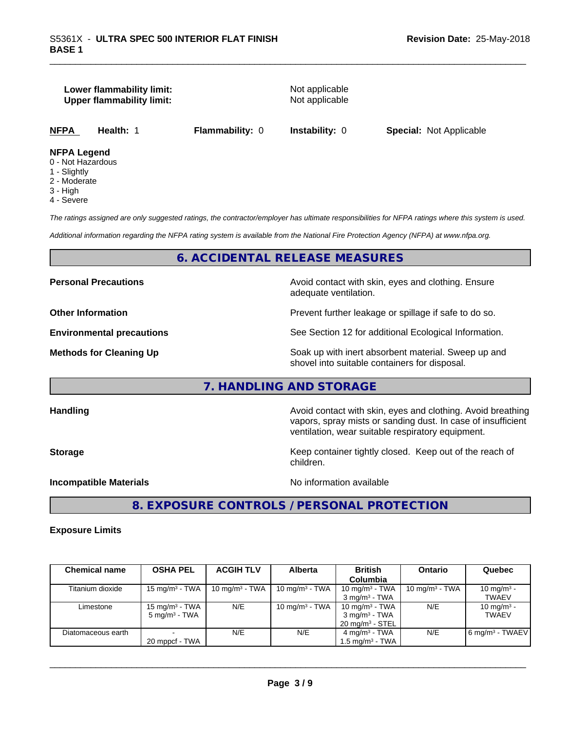#### **Lower flammability limit:** Not applicable **Upper flammability limit:** Not applicable

**NFPA Health:** 1 **Flammability:** 0 **Instability:** 0 **Special:** Not Applicable

#### **NFPA Legend**

- 0 Not Hazardous
- 1 Slightly
- 2 Moderate
- 3 High
- 4 Severe

*The ratings assigned are only suggested ratings, the contractor/employer has ultimate responsibilities for NFPA ratings where this system is used.*

*Additional information regarding the NFPA rating system is available from the National Fire Protection Agency (NFPA) at www.nfpa.org.*

#### **6. ACCIDENTAL RELEASE MEASURES**

**Personal Precautions Avoid contact with skin, eyes and clothing. Ensure Personal Precautions** adequate ventilation.

**Other Information Department Information Department Intervent further leakage or spillage if safe to do so.** 

**Environmental precautions** See Section 12 for additional Ecological Information.

**Methods for Cleaning Up Example 20 Soak** up with inert absorbent material. Sweep up and shovel into suitable containers for disposal.

#### **7. HANDLING AND STORAGE**

**Handling Handling Avoid contact with skin, eyes and clothing. Avoid breathing H** 

**Storage Keep container tightly closed. Keep out of the reach of Keep** container tightly closed. Keep out of the reach of children.

ventilation, wear suitable respiratory equipment.

vapors, spray mists or sanding dust. In case of insufficient

**Incompatible Materials Incompatible Materials No information available** 

 $\overline{\phantom{a}}$  ,  $\overline{\phantom{a}}$  ,  $\overline{\phantom{a}}$  ,  $\overline{\phantom{a}}$  ,  $\overline{\phantom{a}}$  ,  $\overline{\phantom{a}}$  ,  $\overline{\phantom{a}}$  ,  $\overline{\phantom{a}}$  ,  $\overline{\phantom{a}}$  ,  $\overline{\phantom{a}}$  ,  $\overline{\phantom{a}}$  ,  $\overline{\phantom{a}}$  ,  $\overline{\phantom{a}}$  ,  $\overline{\phantom{a}}$  ,  $\overline{\phantom{a}}$  ,  $\overline{\phantom{a}}$ 

**8. EXPOSURE CONTROLS / PERSONAL PROTECTION**

#### **Exposure Limits**

| <b>Chemical name</b> | <b>OSHA PEL</b>           | <b>ACGIH TLV</b>  | <b>Alberta</b>             | <b>British</b>             | <b>Ontario</b>             | Quebec                        |
|----------------------|---------------------------|-------------------|----------------------------|----------------------------|----------------------------|-------------------------------|
|                      |                           |                   |                            | <b>Columbia</b>            |                            |                               |
| Titanium dioxide     | $15 \text{ mg/m}^3$ - TWA | 10 mg/m $3$ - TWA | 10 mg/m <sup>3</sup> - TWA | 10 mg/m $3$ - TWA          | 10 mg/m <sup>3</sup> - TWA | 10 mg/m <sup>3</sup> -        |
|                      |                           |                   |                            | $3 \text{ ma/m}^3$ - TWA   |                            | <b>TWAEV</b>                  |
| Limestone            | $15 \text{ mg/m}^3$ - TWA | N/E               | 10 mg/m $3$ - TWA          | 10 mg/m $3$ - TWA          | N/E                        | 10 mg/m <sup>3</sup> -        |
|                      | $5 \text{ ma/m}^3$ - TWA  |                   |                            | 3 mg/m <sup>3</sup> - TWA  |                            | <b>TWAEV</b>                  |
|                      |                           |                   |                            | $20 \text{ ma/m}^3$ - STEL |                            |                               |
| Diatomaceous earth   |                           | N/E               | N/E                        | $4 \text{ mg/m}^3$ - TWA   | N/E                        | $6$ mg/m <sup>3</sup> - TWAEV |
|                      | 20 mppcf - TWA            |                   |                            | 1.5 ma/m $^3$ - TWA        |                            |                               |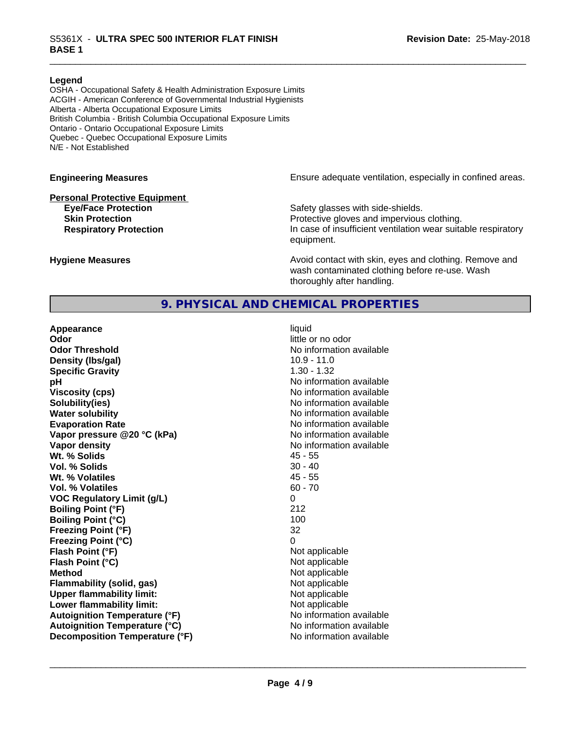#### **Legend**

OSHA - Occupational Safety & Health Administration Exposure Limits ACGIH - American Conference of Governmental Industrial Hygienists Alberta - Alberta Occupational Exposure Limits British Columbia - British Columbia Occupational Exposure Limits Ontario - Ontario Occupational Exposure Limits Quebec - Quebec Occupational Exposure Limits N/E - Not Established

# **Personal Protective Equipment**

**Engineering Measures Ensure** Ensure adequate ventilation, especially in confined areas.

**Eye/Face Protection Safety glasses with side-shields. Skin Protection Protection Protective gloves and impervious clothing. Respiratory Protection In case of insufficient ventilation wear suitable respiratory** equipment.

**Hygiene Measures Avoid contact with skin, eyes and clothing. Remove and Hygiene Measures Avoid contact with skin, eyes and clothing. Remove and** wash contaminated clothing before re-use. Wash thoroughly after handling.

#### **9. PHYSICAL AND CHEMICAL PROPERTIES**

**Appearance** liquid **Odor** little or no odor **Odor Threshold** No information available **Density (lbs/gal)** 10.9 - 11.0<br> **Specific Gravity** 1.30 - 1.32 **Specific Gravity pH** No information available **Viscosity (cps)** No information available **Solubility(ies)** No information available **Water solubility** No information available **Evaporation Rate** No information available **Vapor pressure @20 °C (kPa)** No information available **Vapor density No information available No** information available **Wt. % Solids** 45 - 55 **Vol. % Solids** 30 - 40 **Wt. % Volatiles Vol. % Volatiles** 60 - 70 **VOC Regulatory Limit (g/L)** 0 **Boiling Point (°F)** 212 **Boiling Point (°C)** 100<br>**Freezing Point (°F)** 100<br>32 **Freezing Point (°F) Freezing Point (°C)** 0 **Flash Point (°F)**<br> **Flash Point (°C)**<br> **Flash Point (°C)**<br> **Point (°C) Flash Point (°C) Method** Not applicable not applicable not applicable not applicable not applicable not applicable not applicable **Flammability (solid, gas)**<br> **Upper flammability limit:**<br>
Upper flammability limit:<br>  $\begin{array}{ccc}\n\bullet & \bullet & \bullet \\
\bullet & \bullet & \bullet\n\end{array}$  Not applicable **Upper flammability limit: Lower flammability limit:**<br> **Autoignition Temperature (°F)** Not applicable havailable available **Autoignition Temperature (°F)**<br> **Autoignition Temperature (°C)** No information available **Autoignition Temperature (°C) Decomposition Temperature (°F)** No information available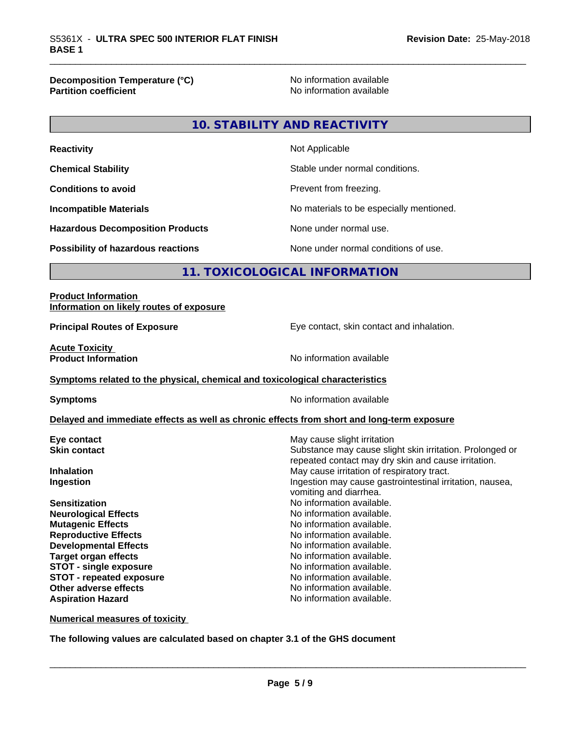**Decomposition Temperature (°C)**<br> **Partition coefficient Partition coefficient Partition coefficient Partition coefficient Partition coefficient Partition coefficient Partition coefficient Partition coefficie** 

**No information available** 

**10. STABILITY AND REACTIVITY**

| <b>Reactivity</b>                         | Not Applicable                           |
|-------------------------------------------|------------------------------------------|
| <b>Chemical Stability</b>                 | Stable under normal conditions.          |
| <b>Conditions to avoid</b>                | Prevent from freezing.                   |
| <b>Incompatible Materials</b>             | No materials to be especially mentioned. |
| <b>Hazardous Decomposition Products</b>   | None under normal use.                   |
| <b>Possibility of hazardous reactions</b> | None under normal conditions of use.     |

### **11. TOXICOLOGICAL INFORMATION**

| <b>Product Information</b><br>Information on likely routes of exposure                     |                                                          |
|--------------------------------------------------------------------------------------------|----------------------------------------------------------|
| <b>Principal Routes of Exposure</b>                                                        | Eye contact, skin contact and inhalation.                |
| <b>Acute Toxicity</b><br><b>Product Information</b>                                        | No information available                                 |
| Symptoms related to the physical, chemical and toxicological characteristics               |                                                          |
| <b>Symptoms</b>                                                                            | No information available                                 |
| Delayed and immediate effects as well as chronic effects from short and long-term exposure |                                                          |
| Eye contact                                                                                | May cause slight irritation                              |
| <b>Skin contact</b>                                                                        | Substance may cause slight skin irritation. Prolonged or |
|                                                                                            | repeated contact may dry skin and cause irritation.      |
| <b>Inhalation</b>                                                                          | May cause irritation of respiratory tract.               |
| Ingestion                                                                                  | Ingestion may cause gastrointestinal irritation, nausea, |
|                                                                                            | vomiting and diarrhea.                                   |
| <b>Sensitization</b>                                                                       | No information available.                                |
| <b>Neurological Effects</b>                                                                | No information available.                                |
| <b>Mutagenic Effects</b>                                                                   | No information available.                                |
| <b>Reproductive Effects</b>                                                                | No information available.                                |
| <b>Developmental Effects</b>                                                               | No information available.                                |
| <b>Target organ effects</b>                                                                | No information available.                                |
| <b>STOT - single exposure</b>                                                              | No information available.                                |
| <b>STOT - repeated exposure</b>                                                            | No information available.                                |
| Other adverse effects                                                                      | No information available.                                |
| <b>Aspiration Hazard</b>                                                                   | No information available.                                |
| <b>Numerical measures of toxicity</b>                                                      |                                                          |

**The following values are calculated based on chapter 3.1 of the GHS document**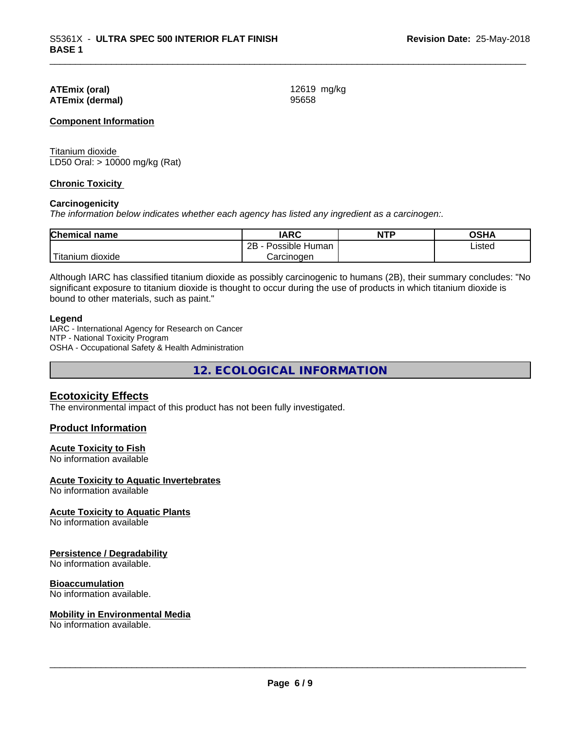#### **ATEmix (oral)** 12619 mg/kg **ATEmix (dermal)** 95658

#### **Component Information**

Titanium dioxide LD50 Oral: > 10000 mg/kg (Rat)

#### **Chronic Toxicity**

#### **Carcinogenicity**

*The information below indicateswhether each agency has listed any ingredient as a carcinogen:.*

| <b>Chemical name</b>        | <b>IARC</b>                  | <b>NTP</b> | <b>OCU</b><br>יוחט |
|-----------------------------|------------------------------|------------|--------------------|
|                             | .<br>2B<br>Possible<br>Human |            | Listed             |
| $-1$<br>dioxide<br>⊺itanıum | Carcinogen                   |            |                    |

Although IARC has classified titanium dioxide as possibly carcinogenic to humans (2B), their summary concludes: "No significant exposure to titanium dioxide is thought to occur during the use of products in which titanium dioxide is bound to other materials, such as paint."

#### **Legend**

IARC - International Agency for Research on Cancer NTP - National Toxicity Program OSHA - Occupational Safety & Health Administration

**12. ECOLOGICAL INFORMATION**

#### **Ecotoxicity Effects**

The environmental impact of this product has not been fully investigated.

#### **Product Information**

#### **Acute Toxicity to Fish**

No information available

#### **Acute Toxicity to Aquatic Invertebrates**

No information available

#### **Acute Toxicity to Aquatic Plants**

No information available

#### **Persistence / Degradability**

No information available.

#### **Bioaccumulation**

No information available.

#### **Mobility in Environmental Media**

No information available.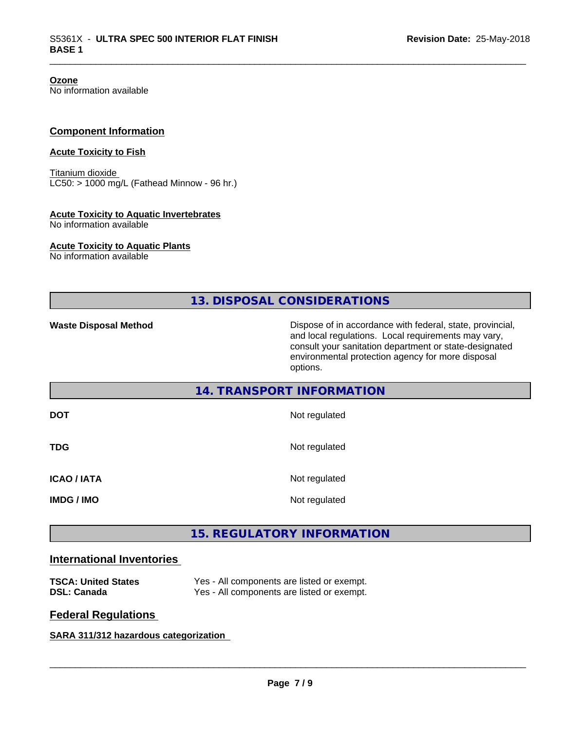**Ozone**

No information available

#### **Component Information**

#### **Acute Toxicity to Fish**

Titanium dioxide  $LC50:$  > 1000 mg/L (Fathead Minnow - 96 hr.)

#### **Acute Toxicity to Aquatic Invertebrates**

No information available

#### **Acute Toxicity to Aquatic Plants**

No information available

**13. DISPOSAL CONSIDERATIONS**

**Waste Disposal Method** Dispose of in accordance with federal, state, provincial, and local regulations. Local requirements may vary, consult your sanitation department or state-designated environmental protection agency for more disposal options.

#### **14. TRANSPORT INFORMATION**

| <b>DOT</b>        | Not regulated |
|-------------------|---------------|
| <b>TDG</b>        | Not regulated |
| <b>ICAO/IATA</b>  | Not regulated |
| <b>IMDG / IMO</b> | Not regulated |

### **15. REGULATORY INFORMATION**

#### **International Inventories**

| <b>TSCA: United States</b> | Yes - All components are listed or exempt. |
|----------------------------|--------------------------------------------|
| <b>DSL: Canada</b>         | Yes - All components are listed or exempt. |

#### **Federal Regulations**

#### **SARA 311/312 hazardous categorization**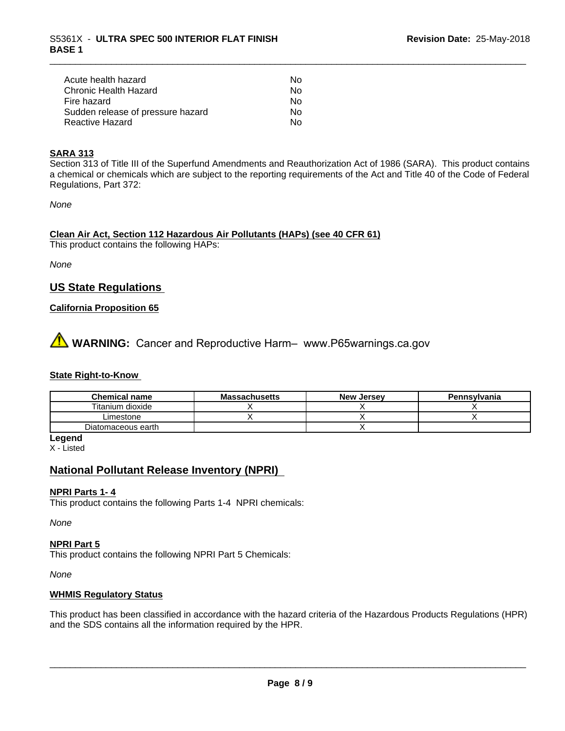| Acute health hazard               | Nο |
|-----------------------------------|----|
| Chronic Health Hazard             | Nο |
| Fire hazard                       | Nο |
| Sudden release of pressure hazard | Nο |
| Reactive Hazard                   | Nο |

#### **SARA 313**

Section 313 of Title III of the Superfund Amendments and Reauthorization Act of 1986 (SARA). This product contains a chemical or chemicals which are subject to the reporting requirements of the Act and Title 40 of the Code of Federal Regulations, Part 372:

*None*

**Clean Air Act,Section 112 Hazardous Air Pollutants (HAPs) (see 40 CFR 61)** This product contains the following HAPs:

*None*

#### **US State Regulations**

#### **California Proposition 65**

# **A** WARNING: Cancer and Reproductive Harm– www.P65warnings.ca.gov

#### **State Right-to-Know**

| <b>Chemical name</b> | <b>Massachusetts</b> | <b>New Jersey</b> | Pennsylvania |
|----------------------|----------------------|-------------------|--------------|
| Titanium dioxide     |                      |                   |              |
| Limestone            |                      |                   |              |
| Diatomaceous earth   |                      |                   |              |

**Legend** X - Listed

#### **National Pollutant Release Inventory (NPRI)**

#### **NPRI Parts 1- 4**

This product contains the following Parts 1-4 NPRI chemicals:

*None*

#### **NPRI Part 5**

This product contains the following NPRI Part 5 Chemicals:

*None*

#### **WHMIS Regulatory Status**

This product has been classified in accordance with the hazard criteria of the Hazardous Products Regulations (HPR) and the SDS contains all the information required by the HPR.